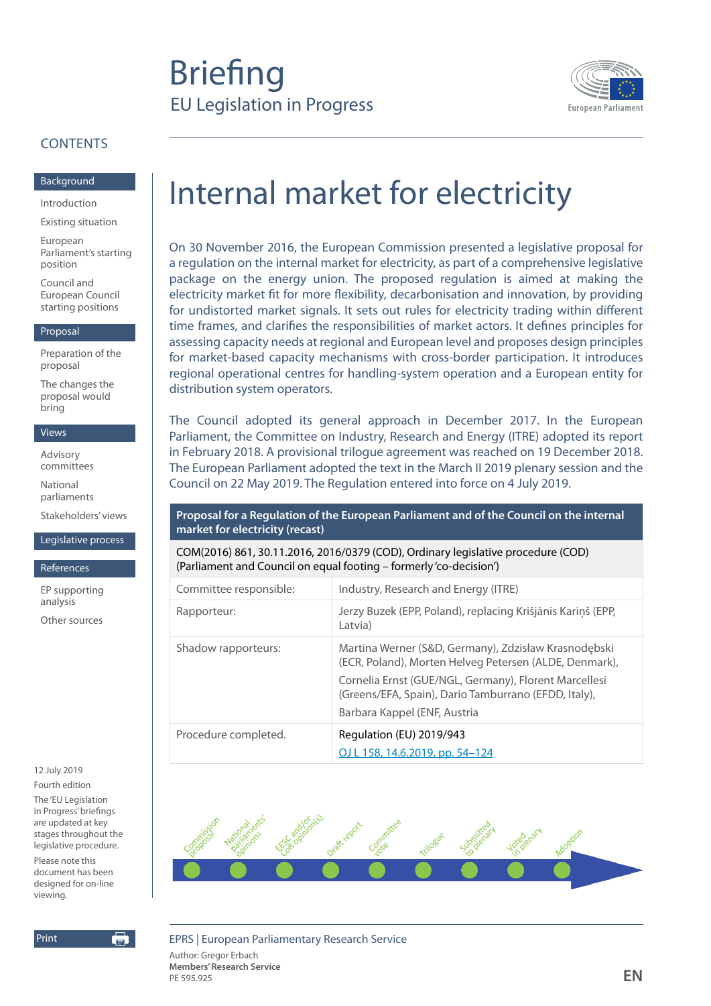# **Briefing** EU Legislation in Progress



## **CONTENTS**

#### [Background](#page-1-0)

[Introduction](#page-1-0)

[Existing situation](#page-1-0)

[European](#page-2-0)  [Parliament's starting](#page-2-0)  [position](#page-2-0)

[Council and](#page-3-0)  [European Council](#page-3-0)  [starting positions](#page-3-0)

#### [Proposal](#page-4-0)

[Preparation of the](#page-4-0)  [proposal](#page-4-0)

[The changes the](#page-4-0)  [proposal would](#page-4-0)  [bring](#page-4-0)

#### [Views](#page-8-0)

[Advisory](#page-8-0)  [committees](#page-8-0)

[National](#page-9-0)  [parliaments](#page-9-0)

[Stakeholders' views](#page-9-0)

[Legislative process](#page-10-0)

[References](#page-12-0)

[EP supporting](#page-12-0)  [analysis](#page-12-0)

[Other sources](#page-12-0)

12 July 2019 Fourth edition

The 'EU Legislation in Progress' briefings are updated at key stages throughout the legislative procedure. Please note this document has been designed for on-line viewing.



# Internal market for electricity

On 30 November 2016, the European Commission presented a legislative proposal for a regulation on the internal market for electricity, as part of a comprehensive legislative package on the energy union. The proposed regulation is aimed at making the electricity market fit for more flexibility, decarbonisation and innovation, by providing for undistorted market signals. It sets out rules for electricity trading within different time frames, and clarifies the responsibilities of market actors. It defines principles for assessing capacity needs at regional and European level and proposes design principles for market-based capacity mechanisms with cross-border participation. It introduces regional operational centres for handling-system operation and a European entity for distribution system operators.

The Council adopted its general approach in December 2017. In the European Parliament, the Committee on Industry, Research and Energy (ITRE) adopted its report in February 2018. A provisional trilogue agreement was reached on 19 December 2018. The European Parliament adopted the text in the March II 2019 plenary session and the Council on 22 May 2019. The Regulation entered into force on 4 July 2019.

#### **Proposal for a Regulation of the European Parliament and of the Council on the internal market for electricity (recast)**

COM(2016) 861, 30.11.2016, 2016/0379 (COD), Ordinary legislative procedure (COD) (Parliament and Council on equal footing – formerly 'co-decision')

| Committee responsible: | Industry, Research and Energy (ITRE)                                                                                                                                                                                                                            |
|------------------------|-----------------------------------------------------------------------------------------------------------------------------------------------------------------------------------------------------------------------------------------------------------------|
| Rapporteur:            | Jerzy Buzek (EPP, Poland), replacing Krišjānis Kariņš (EPP,<br>Latvia)                                                                                                                                                                                          |
| Shadow rapporteurs:    | Martina Werner (S&D, Germany), Zdzisław Krasnodębski<br>(ECR, Poland), Morten Helveg Petersen (ALDE, Denmark),<br>Cornelia Ernst (GUE/NGL, Germany), Florent Marcellesi<br>(Greens/EFA, Spain), Dario Tamburrano (EFDD, Italy),<br>Barbara Kappel (ENF, Austria |
| Procedure completed.   | Regulation (EU) 2019/943<br>OJ L 158, 14.6.2019, pp. 54-124                                                                                                                                                                                                     |



EPRS | European Parliamentary Research Service

Author: Gregor Erbach **Members' Research Service EN**<br>PE 595.925 **EN**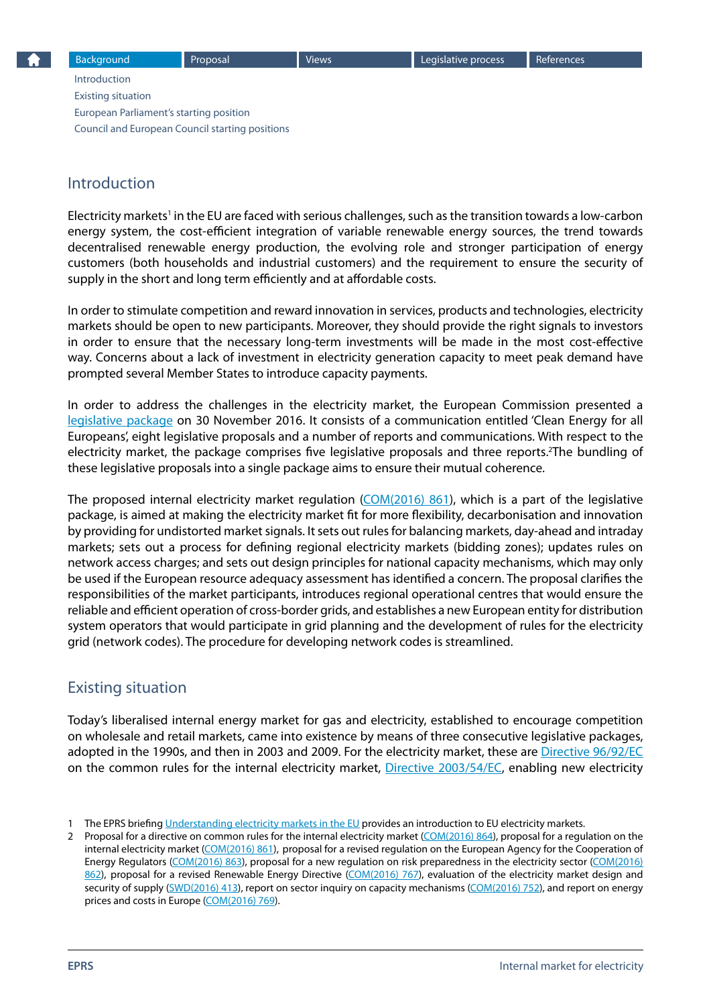<span id="page-1-0"></span>Introduction Existing situation [European Parliament's starting position](#page-2-0) [Council and European Council starting positions](#page-3-0)

# Introduction

Electricity markets<sup>1</sup> in the EU are faced with serious challenges, such as the transition towards a low-carbon energy system, the cost-efficient integration of variable renewable energy sources, the trend towards decentralised renewable energy production, the evolving role and stronger participation of energy customers (both households and industrial customers) and the requirement to ensure the security of supply in the short and long term efficiently and at affordable costs.

In order to stimulate competition and reward innovation in services, products and technologies, electricity markets should be open to new participants. Moreover, they should provide the right signals to investors in order to ensure that the necessary long-term investments will be made in the most cost-effective way. Concerns about a lack of investment in electricity generation capacity to meet peak demand have prompted several Member States to introduce capacity payments.

In order to address the challenges in the electricity market, the European Commission presented a [legislative package](https://ec.europa.eu/energy/en/news/commission-proposes-new-rules-consumer-centred-clean-energy-transition) on 30 November 2016. It consists of a communication entitled 'Clean Energy for all Europeans', eight legislative proposals and a number of reports and communications. With respect to the electricity market, the package comprises five legislative proposals and three reports.<sup>2</sup>The bundling of these legislative proposals into a single package aims to ensure their mutual coherence.

The proposed internal electricity market regulation  $(COM(2016) 861)$ , which is a part of the legislative package, is aimed at making the electricity market fit for more flexibility, decarbonisation and innovation by providing for undistorted market signals. It sets out rules for balancing markets, day-ahead and intraday markets; sets out a process for defining regional electricity markets (bidding zones); updates rules on network access charges; and sets out design principles for national capacity mechanisms, which may only be used if the European resource adequacy assessment has identified a concern. The proposal clarifies the responsibilities of the market participants, introduces regional operational centres that would ensure the reliable and efficient operation of cross-border grids, and establishes a new European entity for distribution system operators that would participate in grid planning and the development of rules for the electricity grid (network codes). The procedure for developing network codes is streamlined.

# Existing situation

Today's liberalised internal energy market for gas and electricity, established to encourage competition on wholesale and retail markets, came into existence by means of three consecutive legislative packages, adopted in the 1990s, and then in 2003 and 2009. For the electricity market, these are [Directive 96/92/EC](http://eur-lex.europa.eu/legal-content/EN/TXT/?uri=CELEX%3A31996L0092) on the common rules for the internal electricity market, [Directive 2003/54/EC](http://eur-lex.europa.eu/legal-content/en/TXT/?uri=CELEX:32003L0054), enabling new electricity

<sup>1</sup> The EPRS briefing [Understanding electricity markets in the EU](http://www.europarl.europa.eu/thinktank/en/document.html?reference=EPRS_BRI(2016)593519) provides an introduction to EU electricity markets.

<sup>2</sup> Proposal for a directive on common rules for the internal electricity market ([COM\(2016\) 864\)](http://ec.europa.eu/energy/sites/ener/files/documents/1_en_act_part1_v7_864.pdf), proposal for a regulation on the internal electricity market [\(COM\(2016\) 861](http://ec.europa.eu/energy/sites/ener/files/documents/1_en_act_part1_v9.pdf)), proposal for a revised regulation on the European Agency for the Cooperation of Energy Regulators [\(COM\(2016\) 863\)](http://ec.europa.eu/energy/sites/ener/files/documents/1_en_act_part1_v8_0.pdf), proposal for a new regulation on risk preparedness in the electricity sector ([COM\(2016\)](http://ec.europa.eu/energy/sites/ener/files/documents/1_en_act_part1_v7.pdf)  [862\)](http://ec.europa.eu/energy/sites/ener/files/documents/1_en_act_part1_v7.pdf), proposal for a revised Renewable Energy Directive ([COM\(2016\) 767\)](http://ec.europa.eu/energy/sites/ener/files/documents/1_en_act_part1_v7_1.pdf), evaluation of the electricity market design and security of supply ([SWD\(2016\) 413](http://ec.europa.eu/energy/sites/ener/files/documents/1_en_autre_document_travail_service_part1_v2.pdf)), report on sector inquiry on capacity mechanisms [\(COM\(2016\) 752\)](http://ec.europa.eu/energy/sites/ener/files/documents/com2016752.en_.pdf), and report on energy prices and costs in Europe [\(COM\(2016\) 769](http://ec.europa.eu/energy/sites/ener/files/documents/com_2016_769.en_.pdf)).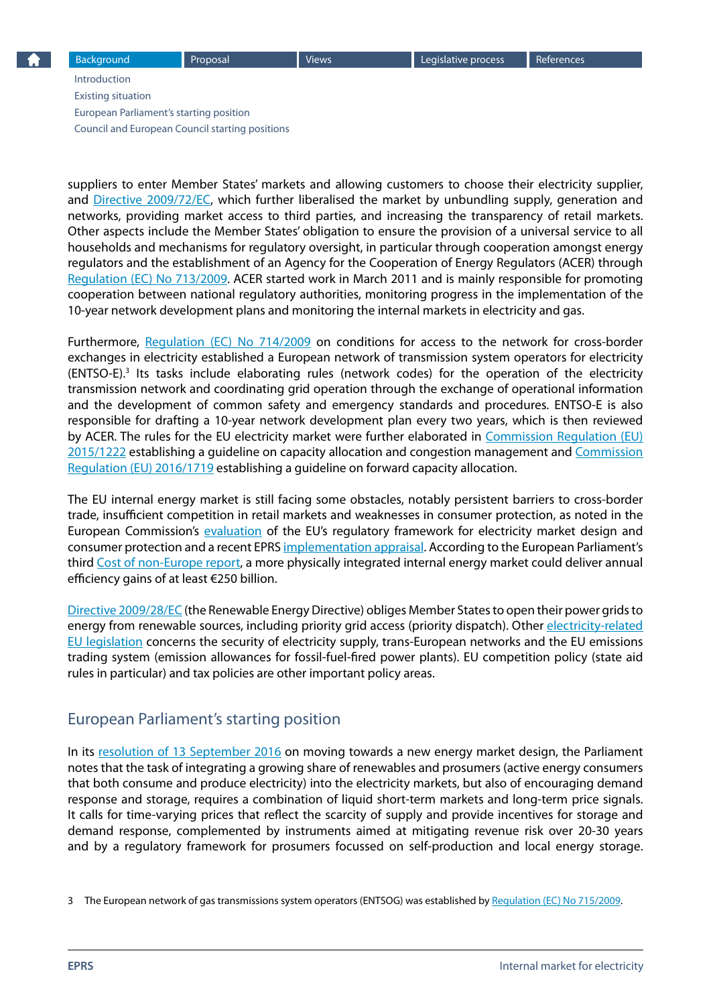<span id="page-2-0"></span>[Introduction](#page-1-0) [Existing situation](#page-1-0) European Parliament's starting position [Council and European Council starting positions](#page-3-0)

suppliers to enter Member States' markets and allowing customers to choose their electricity supplier, and [Directive 2009/72/EC](http://eur-lex.europa.eu/legal-content/en/ALL/?uri=CELEX%3A32009L0072), which further liberalised the market by unbundling supply, generation and networks, providing market access to third parties, and increasing the transparency of retail markets. Other aspects include the Member States' obligation to ensure the provision of a universal service to all households and mechanisms for regulatory oversight, in particular through cooperation amongst energy regulators and the establishment of an Agency for the Cooperation of Energy Regulators (ACER) through [Regulation \(EC\) No 713/2009](http://eur-lex.europa.eu/legal-content/EN/ALL/?uri=celex%3A32009R0713). ACER started work in March 2011 and is mainly responsible for promoting cooperation between national regulatory authorities, monitoring progress in the implementation of the 10-year network development plans and monitoring the internal markets in electricity and gas.

Furthermore, [Regulation \(EC\) No 714/2009](http://eur-lex.europa.eu/legal-content/en/ALL/?uri=CELEX%3A32009R0714) on conditions for access to the network for cross-border exchanges in electricity established a European network of transmission system operators for electricity (ENTSO-E).3 Its tasks include elaborating rules (network codes) for the operation of the electricity transmission network and coordinating grid operation through the exchange of operational information and the development of common safety and emergency standards and procedures. ENTSO-E is also responsible for drafting a 10-year network development plan every two years, which is then reviewed by ACER. The rules for the EU electricity market were further elaborated in [Commission Regulation \(EU\)](http://eur-lex.europa.eu/legal-content/EN/TXT/?uri=CELEX:32015R1222)  [2015/1222](http://eur-lex.europa.eu/legal-content/EN/TXT/?uri=CELEX:32015R1222) establishing a guideline on capacity allocation and congestion management and [Commission](http://eur-lex.europa.eu/legal-content/EN/TXT/?uri=uriserv%3AOJ.L_.2016.259.01.0042.01.ENG)  [Regulation \(EU\) 2016/1719](http://eur-lex.europa.eu/legal-content/EN/TXT/?uri=uriserv%3AOJ.L_.2016.259.01.0042.01.ENG) establishing a guideline on forward capacity allocation.

The EU internal energy market is still facing some obstacles, notably persistent barriers to cross-border trade, insufficient competition in retail markets and weaknesses in consumer protection, as noted in the European Commission's [evaluation](http://eur-lex.europa.eu/resource.html?uri=cellar:20674470-b7b9-11e6-9e3c-01aa75ed71a1.0001.02/DOC_1&format=PDF) of the EU's regulatory framework for electricity market design and consumer protection and a recent EPRS [implementation appraisal.](http://www.europarl.europa.eu/thinktank/en/document.html?reference=EPRS_BRI(2017)593782) According to the European Parliament's third [Cost of non-Europe report](http://www.europarl.europa.eu/RegData/etudes/STUD/2015/536364/EPRS_STU%282015%29536364_EN.pdf), a more physically integrated internal energy market could deliver annual efficiency gains of at least €250 billion.

[Directive 2009/28/EC](http://eur-lex.europa.eu/legal-content/EN/ALL/?uri=CELEX:32009L0028) (the Renewable Energy Directive) obliges Member States to open their power grids to energy from renewable sources, including priority grid access (priority dispatch). Other electricity-related [EU legislation](http://www.europarl.europa.eu/atyourservice/en/displayFtu.html?ftuId=FTU_5.7.2.html) concerns the security of electricity supply, trans-European networks and the EU emissions trading system (emission allowances for fossil-fuel-fired power plants). EU competition policy (state aid rules in particular) and tax policies are other important policy areas.

## European Parliament's starting position

In its [resolution of 13 September 2016](http://www.europarl.europa.eu/sides/getDoc.do?pubRef=-//EP//TEXT+TA+P8-TA-2016-0333+0+DOC+XML+V0//EN) on moving towards a new energy market design, the Parliament notes that the task of integrating a growing share of renewables and prosumers (active energy consumers that both consume and produce electricity) into the electricity markets, but also of encouraging demand response and storage, requires a combination of liquid short-term markets and long-term price signals. It calls for time-varying prices that reflect the scarcity of supply and provide incentives for storage and demand response, complemented by instruments aimed at mitigating revenue risk over 20-30 years and by a regulatory framework for prosumers focussed on self-production and local energy storage.

3 The European network of gas transmissions system operators (ENTSOG) was established by [Regulation \(EC\) No 715/2009.](http://eur-lex.europa.eu/legal-content/en/ALL/?uri=CELEX%3A32009R0715)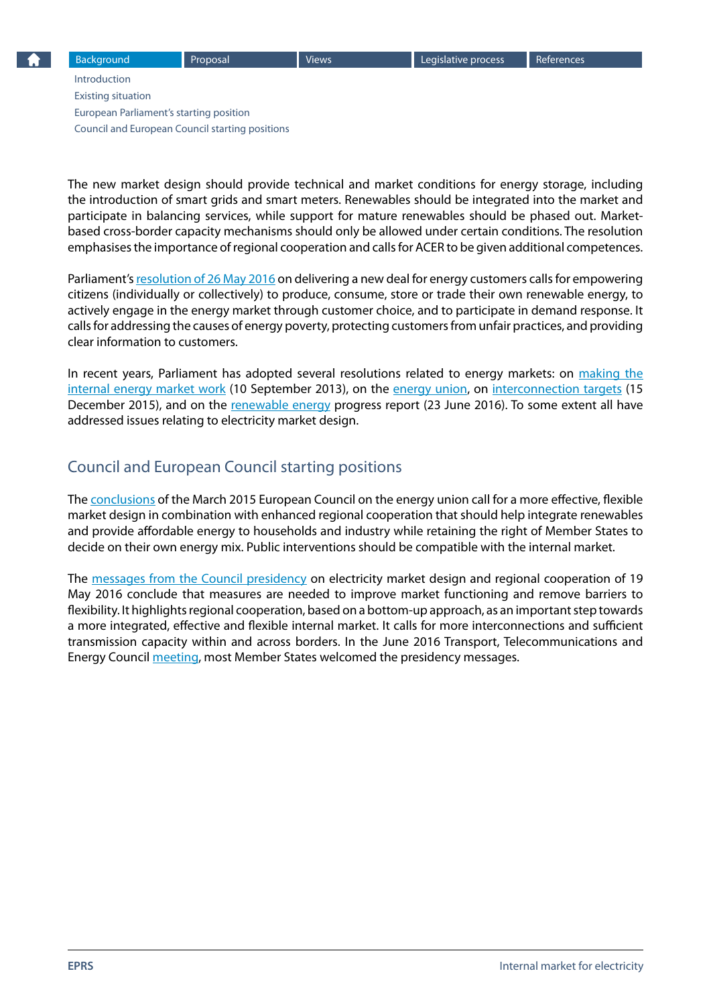<span id="page-3-0"></span>[Introduction](#page-1-0) [Existing situation](#page-1-0) [European Parliament's starting position](#page-2-0) Council and European Council starting positions

The new market design should provide technical and market conditions for energy storage, including the introduction of smart grids and smart meters. Renewables should be integrated into the market and participate in balancing services, while support for mature renewables should be phased out. Marketbased cross-border capacity mechanisms should only be allowed under certain conditions. The resolution emphasises the importance of regional cooperation and calls for ACER to be given additional competences.

Parliament's [resolution of 26 May 2016](http://www.europarl.europa.eu/sides/getDoc.do?pubRef=-//EP//TEXT+TA+P8-TA-2016-0234+0+DOC+XML+V0//EN) on delivering a new deal for energy customers calls for empowering citizens (individually or collectively) to produce, consume, store or trade their own renewable energy, to actively engage in the energy market through customer choice, and to participate in demand response. It calls for addressing the causes of energy poverty, protecting customers from unfair practices, and providing clear information to customers.

In recent years, Parliament has adopted several resolutions related to energy markets: on making the [internal energy market work](http://www.europarl.europa.eu/sides/getDoc.do?pubRef=-//EP//TEXT+TA+P7-TA-2013-0344+0+DOC+XML+V0//EN) (10 September 2013), on the [energy union](http://www.europarl.europa.eu/sides/getDoc.do?pubRef=-//EP//TEXT+TA+P8-TA-2015-0444+0+DOC+XML+V0//EN), on [interconnection targets](http://www.europarl.europa.eu/sides/getDoc.do?pubRef=-//EP//TEXT+TA+P8-TA-2015-0445+0+DOC+XML+V0//EN) (15 December 2015), and on the [renewable energy](http://www.europarl.europa.eu/sides/getDoc.do?pubRef=-//EP//TEXT+TA+P8-TA-2016-0292+0+DOC+XML+V0//EN) progress report (23 June 2016). To some extent all have addressed issues relating to electricity market design.

# Council and European Council starting positions

The [conclusions](http://www.consilium.europa.eu/en/press/press-releases/2015/03/conclusions-energy-european-council-march-2015/) of the March 2015 European Council on the energy union call for a more effective, flexible market design in combination with enhanced regional cooperation that should help integrate renewables and provide affordable energy to households and industry while retaining the right of Member States to decide on their own energy mix. Public interventions should be compatible with the internal market.

The [messages from the Council presidency](http://data.consilium.europa.eu/doc/document/ST-9103-2016-INIT/en/pdf) on electricity market design and regional cooperation of 19 May 2016 conclude that measures are needed to improve market functioning and remove barriers to flexibility. It highlights regional cooperation, based on a bottom-up approach, as an important step towards a more integrated, effective and flexible internal market. It calls for more interconnections and sufficient transmission capacity within and across borders. In the June 2016 Transport, Telecommunications and Energy Council [meeting](http://www.consilium.europa.eu/en/meetings/tte/2016/06/st09736_en16_pdf/), most Member States welcomed the presidency messages.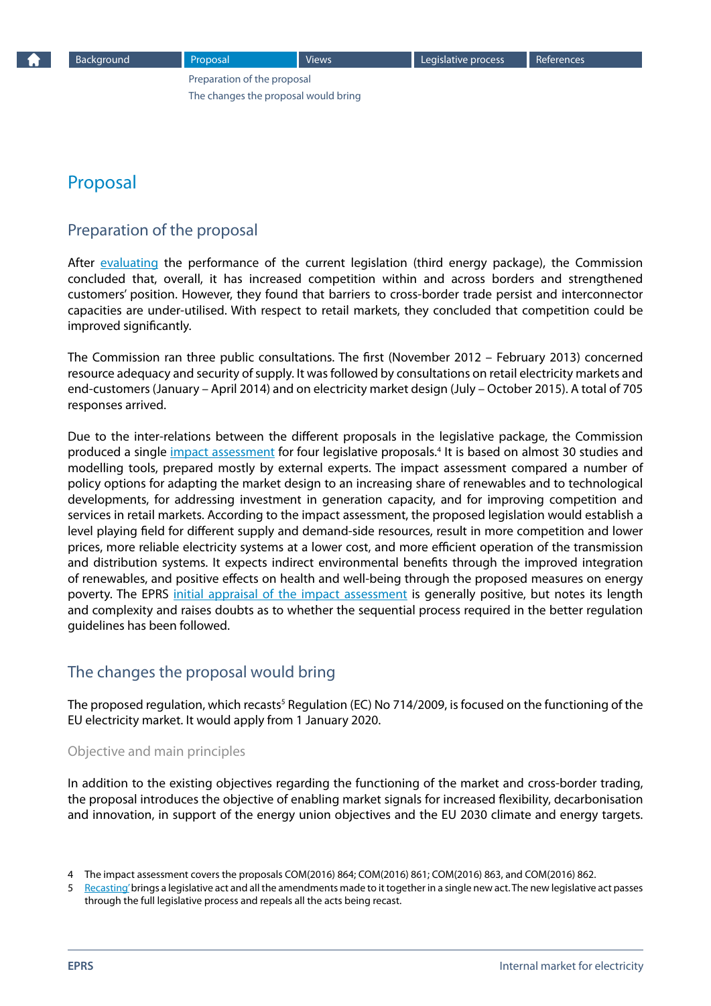# <span id="page-4-0"></span>Proposal

### Preparation of the proposal

After [evaluating](http://eur-lex.europa.eu/resource.html?uri=cellar:20674470-b7b9-11e6-9e3c-01aa75ed71a1.0001.02/DOC_1&format=PDF) the performance of the current legislation (third energy package), the Commission concluded that, overall, it has increased competition within and across borders and strengthened customers' position. However, they found that barriers to cross-border trade persist and interconnector capacities are under-utilised. With respect to retail markets, they concluded that competition could be improved significantly.

The Commission ran three public consultations. The first (November 2012 – February 2013) concerned resource adequacy and security of supply. It was followed by consultations on retail electricity markets and end-customers (January – April 2014) and on electricity market design (July – October 2015). A total of 705 responses arrived.

Due to the inter-relations between the different proposals in the legislative package, the Commission produced a single *[impact assessment](https://ec.europa.eu/energy/sites/ener/files/documents/mdi_impact_assessment_main_report_for_publication.pdf)* for four legislative proposals.<sup>4</sup> It is based on almost 30 studies and modelling tools, prepared mostly by external experts. The impact assessment compared a number of policy options for adapting the market design to an increasing share of renewables and to technological developments, for addressing investment in generation capacity, and for improving competition and services in retail markets. According to the impact assessment, the proposed legislation would establish a level playing field for different supply and demand-side resources, result in more competition and lower prices, more reliable electricity systems at a lower cost, and more efficient operation of the transmission and distribution systems. It expects indirect environmental benefits through the improved integration of renewables, and positive effects on health and well-being through the proposed measures on energy poverty. The EPRS [initial appraisal of the impact assessment](http://www.europarl.europa.eu/thinktank/en/document.html?reference=EPRS_BRI(2017)598615) is generally positive, but notes its length and complexity and raises doubts as to whether the sequential process required in the better regulation guidelines has been followed.

## The changes the proposal would bring

The proposed regulation, which recasts<sup>5</sup> Regulation (EC) No 714/2009, is focused on the functioning of the EU electricity market. It would apply from 1 January 2020.

#### Objective and main principles

In addition to the existing objectives regarding the functioning of the market and cross-border trading, the proposal introduces the objective of enabling market signals for increased flexibility, decarbonisation and innovation, in support of the energy union objectives and the EU 2030 climate and energy targets.

[Recasting](http://ec.europa.eu/dgs/legal_service/recasting_en.htm)' brings a legislative act and all the amendments made to it together in a single new act. The new legislative act passes through the full legislative process and repeals all the acts being recast.

<sup>4</sup> The impact assessment covers the proposals COM(2016) 864; COM(2016) 861; COM(2016) 863, and COM(2016) 862.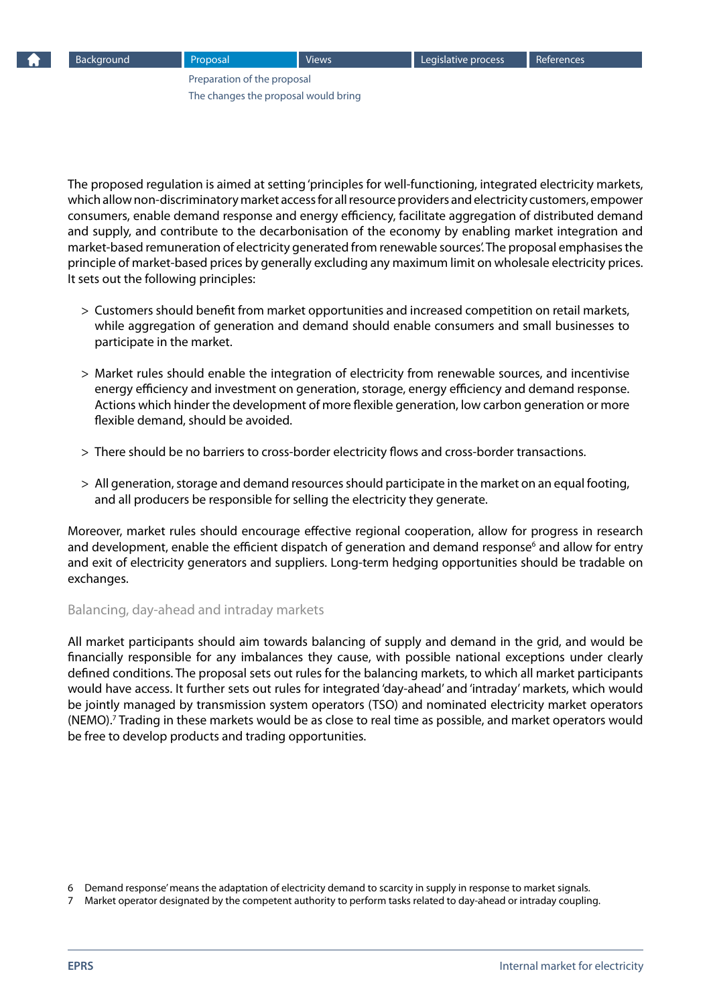The proposed regulation is aimed at setting 'principles for well-functioning, integrated electricity markets, which allow non-discriminatory market access for all resource providers and electricity customers, empower consumers, enable demand response and energy efficiency, facilitate aggregation of distributed demand and supply, and contribute to the decarbonisation of the economy by enabling market integration and market-based remuneration of electricity generated from renewable sources'. The proposal emphasises the principle of market-based prices by generally excluding any maximum limit on wholesale electricity prices. It sets out the following principles:

- > Customers should benefit from market opportunities and increased competition on retail markets, while aggregation of generation and demand should enable consumers and small businesses to participate in the market.
- > Market rules should enable the integration of electricity from renewable sources, and incentivise energy efficiency and investment on generation, storage, energy efficiency and demand response. Actions which hinder the development of more flexible generation, low carbon generation or more flexible demand, should be avoided.
- > There should be no barriers to cross-border electricity flows and cross-border transactions.
- > All generation, storage and demand resources should participate in the market on an equal footing, and all producers be responsible for selling the electricity they generate.

Moreover, market rules should encourage effective regional cooperation, allow for progress in research and development, enable the efficient dispatch of generation and demand response<sup>6</sup> and allow for entry and exit of electricity generators and suppliers. Long-term hedging opportunities should be tradable on exchanges.

#### Balancing, day-ahead and intraday markets

All market participants should aim towards balancing of supply and demand in the grid, and would be financially responsible for any imbalances they cause, with possible national exceptions under clearly defined conditions. The proposal sets out rules for the balancing markets, to which all market participants would have access. It further sets out rules for integrated 'day-ahead' and 'intraday' markets, which would be jointly managed by transmission system operators (TSO) and nominated electricity market operators (NEMO).7 Trading in these markets would be as close to real time as possible, and market operators would be free to develop products and trading opportunities.

<sup>6</sup> Demand response' means the adaptation of electricity demand to scarcity in supply in response to market signals.

<sup>7</sup> Market operator designated by the competent authority to perform tasks related to day-ahead or intraday coupling.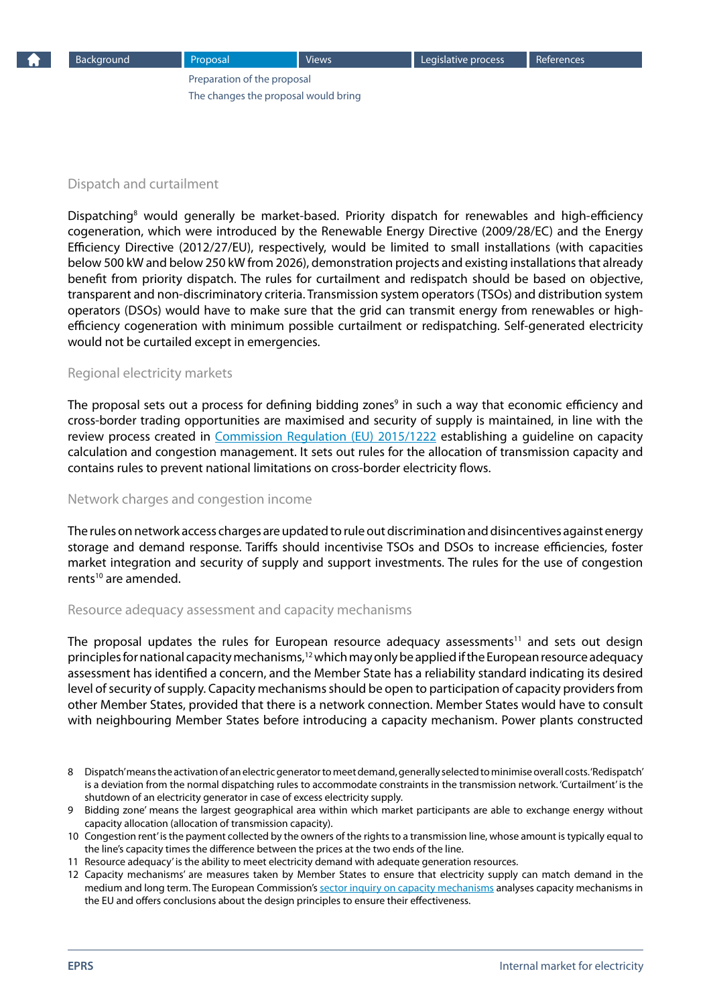#### Dispatch and curtailment

Dispatching<sup>8</sup> would generally be market-based. Priority dispatch for renewables and high-efficiency cogeneration, which were introduced by the Renewable Energy Directive (2009/28/EC) and the Energy Efficiency Directive (2012/27/EU), respectively, would be limited to small installations (with capacities below 500 kW and below 250 kW from 2026), demonstration projects and existing installations that already benefit from priority dispatch. The rules for curtailment and redispatch should be based on objective, transparent and non-discriminatory criteria. Transmission system operators (TSOs) and distribution system operators (DSOs) would have to make sure that the grid can transmit energy from renewables or highefficiency cogeneration with minimum possible curtailment or redispatching. Self-generated electricity would not be curtailed except in emergencies.

#### Regional electricity markets

The proposal sets out a process for defining bidding zones<sup>9</sup> in such a way that economic efficiency and cross-border trading opportunities are maximised and security of supply is maintained, in line with the review process created in [Commission Regulation \(EU\) 2015/1222](http://eur-lex.europa.eu/legal-content/EN/TXT/?uri=CELEX%3A32015R1222) establishing a guideline on capacity calculation and congestion management. It sets out rules for the allocation of transmission capacity and contains rules to prevent national limitations on cross-border electricity flows.

#### Network charges and congestion income

The rules on network access charges are updated to rule out discrimination and disincentives against energy storage and demand response. Tariffs should incentivise TSOs and DSOs to increase efficiencies, foster market integration and security of supply and support investments. The rules for the use of congestion rents<sup>10</sup> are amended.

#### Resource adequacy assessment and capacity mechanisms

The proposal updates the rules for European resource adequacy assessments<sup>11</sup> and sets out design principles for national capacity mechanisms,<sup>12</sup> which may only be applied if the European resource adequacy assessment has identified a concern, and the Member State has a reliability standard indicating its desired level of security of supply. Capacity mechanisms should be open to participation of capacity providers from other Member States, provided that there is a network connection. Member States would have to consult with neighbouring Member States before introducing a capacity mechanism. Power plants constructed

- 8 Dispatch' means the activation of an electric generator to meet demand, generally selected to minimise overall costs. 'Redispatch' is a deviation from the normal dispatching rules to accommodate constraints in the transmission network. 'Curtailment' is the shutdown of an electricity generator in case of excess electricity supply.
- 9 Bidding zone' means the largest geographical area within which market participants are able to exchange energy without capacity allocation (allocation of transmission capacity).
- 10 Congestion rent' is the payment collected by the owners of the rights to a transmission line, whose amount is typically equal to the line's capacity times the difference between the prices at the two ends of the line.
- 11 Resource adequacy' is the ability to meet electricity demand with adequate generation resources.
- 12 Capacity mechanisms' are measures taken by Member States to ensure that electricity supply can match demand in the medium and long term. The European Commission's [sector inquiry on capacity mechanisms](http://ec.europa.eu/energy/sites/ener/files/documents/com2016752.en_.pdf) analyses capacity mechanisms in the EU and offers conclusions about the design principles to ensure their effectiveness.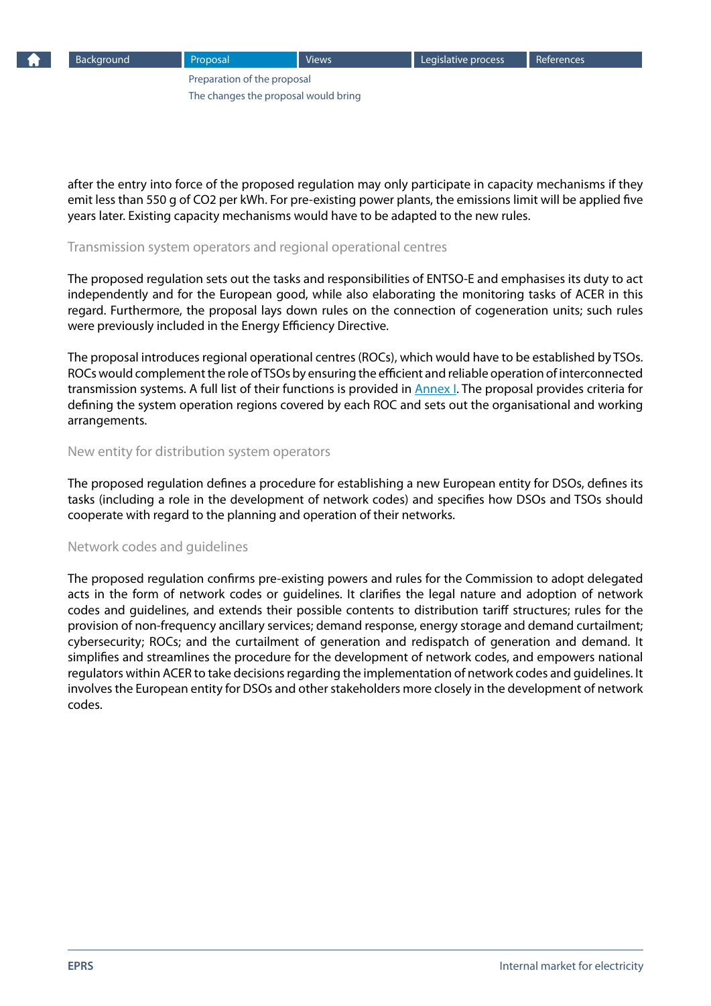

after the entry into force of the proposed regulation may only participate in capacity mechanisms if they emit less than 550 g of CO2 per kWh. For pre-existing power plants, the emissions limit will be applied five years later. Existing capacity mechanisms would have to be adapted to the new rules.

#### Transmission system operators and regional operational centres

The proposed regulation sets out the tasks and responsibilities of ENTSO-E and emphasises its duty to act independently and for the European good, while also elaborating the monitoring tasks of ACER in this regard. Furthermore, the proposal lays down rules on the connection of cogeneration units; such rules were previously included in the Energy Efficiency Directive.

The proposal introduces regional operational centres (ROCs), which would have to be established by TSOs. ROCs would complement the role of TSOs by ensuring the efficient and reliable operation of interconnected transmission systems. A full list of their functions is provided in [Annex I](http://ec.europa.eu/energy/sites/ener/files/documents/1_en_annexe_proposition_part1_v5_861.pdf). The proposal provides criteria for defining the system operation regions covered by each ROC and sets out the organisational and working arrangements.

#### New entity for distribution system operators

The proposed regulation defines a procedure for establishing a new European entity for DSOs, defines its tasks (including a role in the development of network codes) and specifies how DSOs and TSOs should cooperate with regard to the planning and operation of their networks.

#### Network codes and guidelines

The proposed regulation confirms pre-existing powers and rules for the Commission to adopt delegated acts in the form of network codes or guidelines. It clarifies the legal nature and adoption of network codes and guidelines, and extends their possible contents to distribution tariff structures; rules for the provision of non-frequency ancillary services; demand response, energy storage and demand curtailment; cybersecurity; ROCs; and the curtailment of generation and redispatch of generation and demand. It simplifies and streamlines the procedure for the development of network codes, and empowers national regulators within ACER to take decisions regarding the implementation of network codes and guidelines. It involves the European entity for DSOs and other stakeholders more closely in the development of network codes.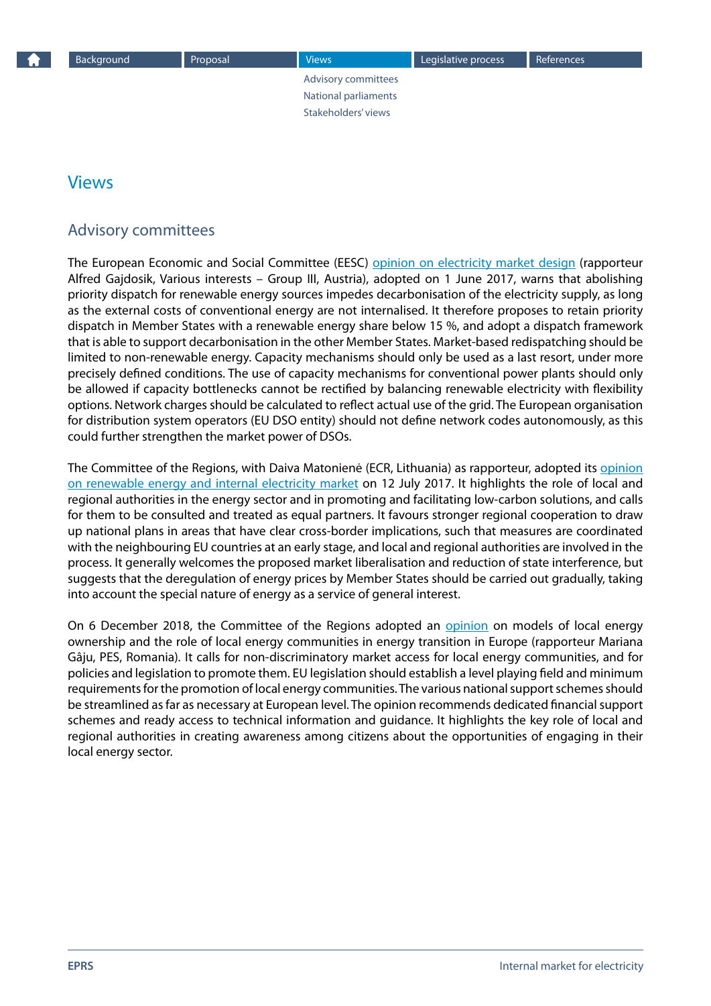Advisory committees [National parliaments](#page-9-0) [Stakeholders' views](#page-9-0)

# <span id="page-8-0"></span>Views

# Advisory committees

The European Economic and Social Committee (EESC) [opinion on electricity market design](http://www.eesc.europa.eu/?i=portal.en.ten-opinions.41141) (rapporteur Alfred Gajdosik, Various interests – Group III, Austria), adopted on 1 June 2017, warns that abolishing priority dispatch for renewable energy sources impedes decarbonisation of the electricity supply, as long as the external costs of conventional energy are not internalised. It therefore proposes to retain priority dispatch in Member States with a renewable energy share below 15 %, and adopt a dispatch framework that is able to support decarbonisation in the other Member States. Market-based redispatching should be limited to non-renewable energy. Capacity mechanisms should only be used as a last resort, under more precisely defined conditions. The use of capacity mechanisms for conventional power plants should only be allowed if capacity bottlenecks cannot be rectified by balancing renewable electricity with flexibility options. Network charges should be calculated to reflect actual use of the grid. The European organisation for distribution system operators (EU DSO entity) should not define network codes autonomously, as this could further strengthen the market power of DSOs.

The Committee of the Regions, with Daiva Matonienė (ECR, Lithuania) as rapporteur, adopted its [opinion](http://cor.europa.eu/en/activities/opinions/Pages/opinion-factsheet.aspx?OpinionNumber=CDR 832/2017)  [on renewable energy and internal electricity market](http://cor.europa.eu/en/activities/opinions/Pages/opinion-factsheet.aspx?OpinionNumber=CDR 832/2017) on 12 July 2017. It highlights the role of local and regional authorities in the energy sector and in promoting and facilitating low-carbon solutions, and calls for them to be consulted and treated as equal partners. It favours stronger regional cooperation to draw up national plans in areas that have clear cross-border implications, such that measures are coordinated with the neighbouring EU countries at an early stage, and local and regional authorities are involved in the process. It generally welcomes the proposed market liberalisation and reduction of state interference, but suggests that the deregulation of energy prices by Member States should be carried out gradually, taking into account the special nature of energy as a service of general interest.

On 6 December 2018, the Committee of the Regions adopted an [opinion](https://cor.europa.eu/en/our-work/Pages/OpinionTimeline.aspx?opId=CDR-2515-2018) on models of local energy ownership and the role of local energy communities in energy transition in Europe (rapporteur Mariana Gâju, PES, Romania)*.* It calls for non-discriminatory market access for local energy communities, and for policies and legislation to promote them. EU legislation should establish a level playing field and minimum requirements for the promotion of local energy communities. The various national support schemes should be streamlined as far as necessary at European level. The opinion recommends dedicated financial support schemes and ready access to technical information and guidance. It highlights the key role of local and regional authorities in creating awareness among citizens about the opportunities of engaging in their local energy sector.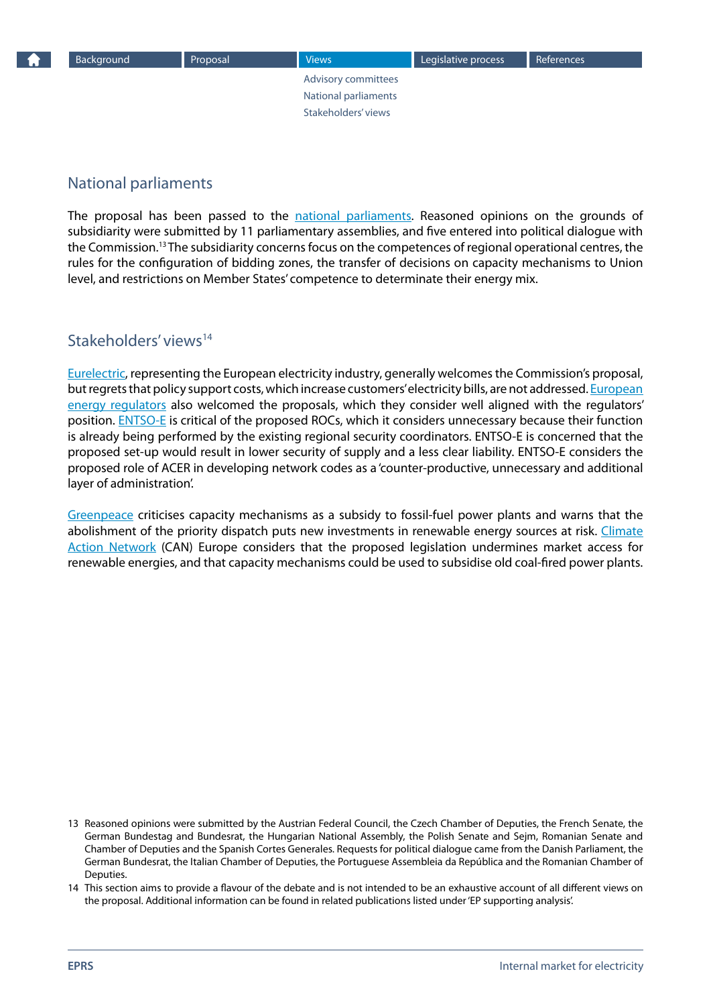[Advisory committees](#page-8-0) National parliaments Stakeholders' views

# <span id="page-9-0"></span>National parliaments

The proposal has been passed to the [national parliaments](http://www.ipex.eu/IPEXL-WEB/dossier/document/COM20160861.do#dossier-COD20160379). Reasoned opinions on the grounds of subsidiarity were submitted by 11 parliamentary assemblies, and five entered into political dialogue with the Commission.13 The subsidiarity concerns focus on the competences of regional operational centres, the rules for the configuration of bidding zones, the transfer of decisions on capacity mechanisms to Union level, and restrictions on Member States' competence to determinate their energy mix.

## Stakeholders' views<sup>14</sup>

[Eurelectric,](http://www.eurelectric.org/news/2016/clean-energy-package-stimulates-market-integration-and-cost-efficient-renewables-lacks-consistency-on-market-design-and-consumer-empowerment/) representing the European electricity industry, generally welcomes the Commission's proposal, but regrets that policy support costs, which increase customers' electricity bills, are not addressed. [European](http://www.ceer.eu/portal/page/portal/EER_HOME/EER_PUBLICATIONS/PRESS_RELEASES/2016/PR-16-09_Press Release_CleanEnergy4AllEuropeansPackage_ACER_CEER_2016-11-30.pdf)  [energy regulators](http://www.ceer.eu/portal/page/portal/EER_HOME/EER_PUBLICATIONS/PRESS_RELEASES/2016/PR-16-09_Press Release_CleanEnergy4AllEuropeansPackage_ACER_CEER_2016-11-30.pdf) also welcomed the proposals, which they consider well aligned with the regulators' position. [ENTSO-E](https://www.entsoe.eu/publications/position-papers/position-papers-archive/Pages/Position Papers/clean-energy-package-statement.aspx) is critical of the proposed ROCs, which it considers unnecessary because their function is already being performed by the existing regional security coordinators. ENTSO-E is concerned that the proposed set-up would result in lower security of supply and a less clear liability. ENTSO-E considers the proposed role of ACER in developing network codes as a 'counter-productive, unnecessary and additional layer of administration'.

[Greenpeace](http://www.greenpeace.org/eu-unit/en/News/2016/EU-lifeline-to-coal-could-derail-renewable-energy-transition/) criticises capacity mechanisms as a subsidy to fossil-fuel power plants and warns that the abolishment of the priority dispatch puts new investments in renewable energy sources at risk. [Climate](http://www.caneurope.org/publications/press-releases/1280-energy-package-inconsistent-with-paris-agreement)  [Action Network](http://www.caneurope.org/publications/press-releases/1280-energy-package-inconsistent-with-paris-agreement) (CAN) Europe considers that the proposed legislation undermines market access for renewable energies, and that capacity mechanisms could be used to subsidise old coal-fired power plants.

13 Reasoned opinions were submitted by the Austrian Federal Council, the Czech Chamber of Deputies, the French Senate, the German Bundestag and Bundesrat, the Hungarian National Assembly, the Polish Senate and Sejm, Romanian Senate and Chamber of Deputies and the Spanish Cortes Generales. Requests for political dialogue came from the Danish Parliament, the German Bundesrat, the Italian Chamber of Deputies, the Portuguese Assembleia da República and the Romanian Chamber of **Deputies** 

<sup>14</sup> This section aims to provide a flavour of the debate and is not intended to be an exhaustive account of all different views on the proposal. Additional information can be found in related publications listed under 'EP supporting analysis'.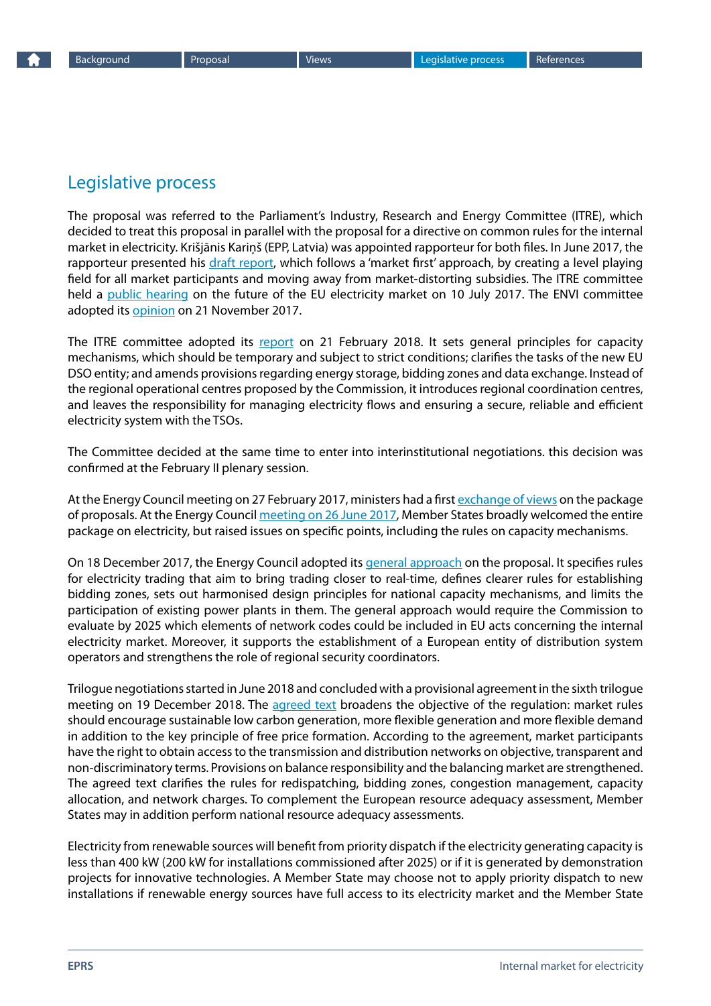# <span id="page-10-0"></span>Legislative process

The proposal was referred to the Parliament's Industry, Research and Energy Committee (ITRE), which decided to treat this proposal in parallel with the proposal for a directive on common rules for the internal market in electricity. Krišjānis Kariņš (EPP, Latvia) was appointed rapporteur for both files. In June 2017, the rapporteur presented his [draft report](http://www.europarl.europa.eu/sides/getDoc.do?type=COMPARL&mode=XML&language=EN&reference=PE597.757), which follows a 'market first' approach, by creating a level playing field for all market participants and moving away from market-distorting subsidies. The ITRE committee held a [public hearing](http://www.europarl.europa.eu/committees/en/itre/events-hearings.html?id=20170703CHE02161) on the future of the EU electricity market on 10 July 2017. The ENVI committee adopted its [opinion](http://www.europarl.europa.eu/sides/getDoc.do?type=COMPARL&mode=XML&language=EN&reference=PE609.648&secondRef=05) on 21 November 2017.

The ITRE committee adopted its [report](http://www.europarl.europa.eu/sides/getDoc.do?type=REPORT&mode=XML&reference=A8-2018-0042&language=EN) on 21 February 2018. It sets general principles for capacity mechanisms, which should be temporary and subject to strict conditions; clarifies the tasks of the new EU DSO entity; and amends provisions regarding energy storage, bidding zones and data exchange. Instead of the regional operational centres proposed by the Commission, it introduces regional coordination centres, and leaves the responsibility for managing electricity flows and ensuring a secure, reliable and efficient electricity system with the TSOs.

The Committee decided at the same time to enter into interinstitutional negotiations. this decision was confirmed at the February II plenary session.

At the Energy Council meeting on 27 February 2017, ministers had a first [exchange of views](http://www.consilium.europa.eu/en/meetings/tte/2017/02/27/) on the package of proposals. At the Energy Council [meeting on 26 June 2017](http://www.consilium.europa.eu/en/meetings/tte/2017/06/26/), Member States broadly welcomed the entire package on electricity, but raised issues on specific points, including the rules on capacity mechanisms.

On 18 December 2017, the Energy Council adopted its [general approach](http://data.consilium.europa.eu/doc/document/ST-15879-2017-INIT/en/pdf) on the proposal. It specifies rules for electricity trading that aim to bring trading closer to real-time, defines clearer rules for establishing bidding zones, sets out harmonised design principles for national capacity mechanisms, and limits the participation of existing power plants in them. The general approach would require the Commission to evaluate by 2025 which elements of network codes could be included in EU acts concerning the internal electricity market. Moreover, it supports the establishment of a European entity of distribution system operators and strengthens the role of regional security coordinators.

Trilogue negotiations started in June 2018 and concluded with a provisional agreement in the sixth trilogue meeting on 19 December 2018. The [agreed text](https://data.consilium.europa.eu/doc/document/ST-5070-2019-INIT/en/pdf) broadens the objective of the regulation: market rules should encourage sustainable low carbon generation, more flexible generation and more flexible demand in addition to the key principle of free price formation. According to the agreement, market participants have the right to obtain access to the transmission and distribution networks on objective, transparent and non-discriminatory terms. Provisions on balance responsibility and the balancing market are strengthened. The agreed text clarifies the rules for redispatching, bidding zones, congestion management, capacity allocation, and network charges. To complement the European resource adequacy assessment, Member States may in addition perform national resource adequacy assessments.

Electricity from renewable sources will benefit from priority dispatch if the electricity generating capacity is less than 400 kW (200 kW for installations commissioned after 2025) or if it is generated by demonstration projects for innovative technologies. A Member State may choose not to apply priority dispatch to new installations if renewable energy sources have full access to its electricity market and the Member State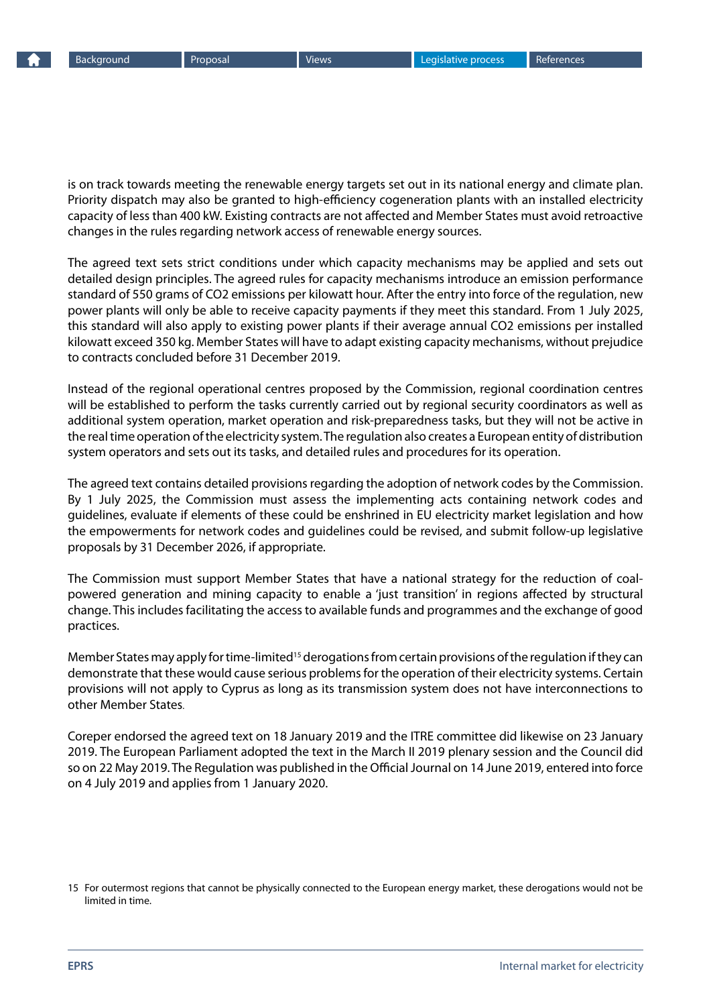is on track towards meeting the renewable energy targets set out in its national energy and climate plan. Priority dispatch may also be granted to high-efficiency cogeneration plants with an installed electricity capacity of less than 400 kW. Existing contracts are not affected and Member States must avoid retroactive changes in the rules regarding network access of renewable energy sources.

The agreed text sets strict conditions under which capacity mechanisms may be applied and sets out detailed design principles. The agreed rules for capacity mechanisms introduce an emission performance standard of 550 grams of CO2 emissions per kilowatt hour. After the entry into force of the regulation, new power plants will only be able to receive capacity payments if they meet this standard. From 1 July 2025, this standard will also apply to existing power plants if their average annual CO2 emissions per installed kilowatt exceed 350 kg. Member States will have to adapt existing capacity mechanisms, without prejudice to contracts concluded before 31 December 2019.

Instead of the regional operational centres proposed by the Commission, regional coordination centres will be established to perform the tasks currently carried out by regional security coordinators as well as additional system operation, market operation and risk-preparedness tasks, but they will not be active in the real time operation of the electricity system. The regulation also creates a European entity of distribution system operators and sets out its tasks, and detailed rules and procedures for its operation.

The agreed text contains detailed provisions regarding the adoption of network codes by the Commission. By 1 July 2025, the Commission must assess the implementing acts containing network codes and guidelines, evaluate if elements of these could be enshrined in EU electricity market legislation and how the empowerments for network codes and guidelines could be revised, and submit follow-up legislative proposals by 31 December 2026, if appropriate.

The Commission must support Member States that have a national strategy for the reduction of coalpowered generation and mining capacity to enable a 'just transition' in regions affected by structural change. This includes facilitating the access to available funds and programmes and the exchange of good practices.

Member States may apply for time-limited<sup>15</sup> derogations from certain provisions of the regulation if they can demonstrate that these would cause serious problems for the operation of their electricity systems. Certain provisions will not apply to Cyprus as long as its transmission system does not have interconnections to other Member States.

Coreper endorsed the agreed text on 18 January 2019 and the ITRE committee did likewise on 23 January 2019. The European Parliament adopted the text in the March II 2019 plenary session and the Council did so on 22 May 2019. The [Regulation](http://data.europa.eu/eli/reg/2019/943/oj) was published in the Official Journal on 14 June 2019, entered into force on 4 July 2019 and applies from 1 January 2020.

<sup>15</sup> For outermost regions that cannot be physically connected to the European energy market, these derogations would not be limited in time.